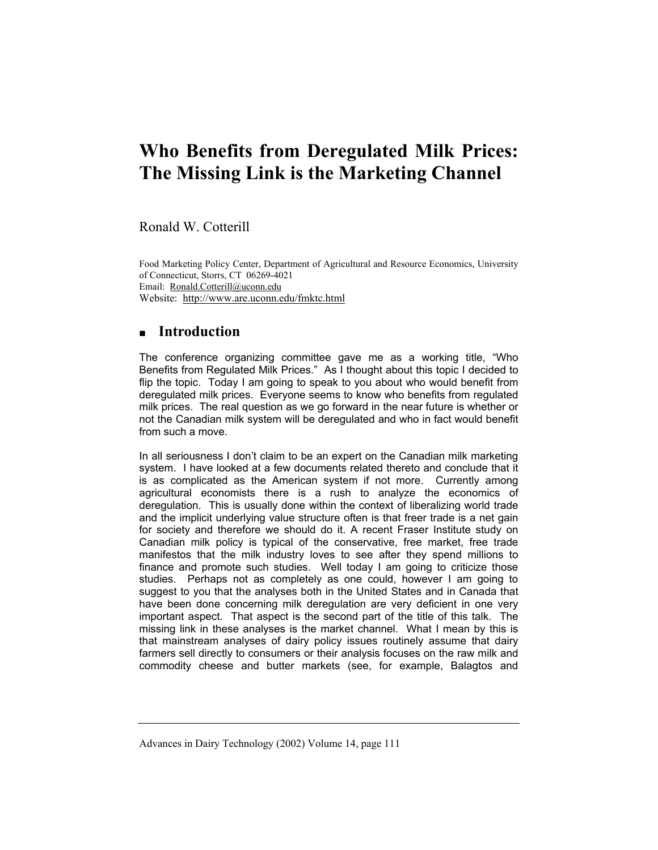# **Who Benefits from Deregulated Milk Prices: The Missing Link is the Marketing Channel**

Ronald W. Cotterill

Food Marketing Policy Center, Department of Agricultural and Resource Economics, University of Connecticut, Storrs, CT 06269-4021 Email: Ronald.Cotterill@uconn.edu Website: http://www.are.uconn.edu/fmktc.html

# **Introduction**

The conference organizing committee gave me as a working title, "Who Benefits from Regulated Milk Prices." As I thought about this topic I decided to flip the topic. Today I am going to speak to you about who would benefit from deregulated milk prices. Everyone seems to know who benefits from regulated milk prices. The real question as we go forward in the near future is whether or not the Canadian milk system will be deregulated and who in fact would benefit from such a move.

In all seriousness I don't claim to be an expert on the Canadian milk marketing system. I have looked at a few documents related thereto and conclude that it is as complicated as the American system if not more. Currently among agricultural economists there is a rush to analyze the economics of deregulation. This is usually done within the context of liberalizing world trade and the implicit underlying value structure often is that freer trade is a net gain for society and therefore we should do it. A recent Fraser Institute study on Canadian milk policy is typical of the conservative, free market, free trade manifestos that the milk industry loves to see after they spend millions to finance and promote such studies. Well today I am going to criticize those studies. Perhaps not as completely as one could, however I am going to suggest to you that the analyses both in the United States and in Canada that have been done concerning milk deregulation are very deficient in one very important aspect. That aspect is the second part of the title of this talk. The missing link in these analyses is the market channel. What I mean by this is that mainstream analyses of dairy policy issues routinely assume that dairy farmers sell directly to consumers or their analysis focuses on the raw milk and commodity cheese and butter markets (see, for example, Balagtos and

Advances in Dairy Technology (2002) Volume 14, page 111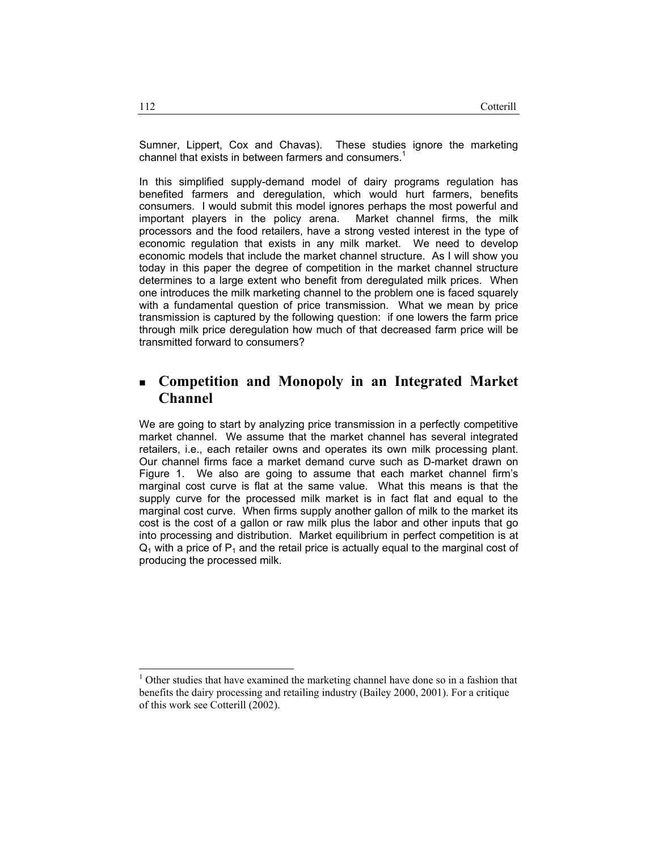Sumner, Lippert, Cox and Chavas). These studies ignore the marketing channel that exists in between farmers and consumers.<sup>1</sup>

In this simplified supply-demand model of dairy programs regulation has benefited farmers and deregulation, which would hurt farmers, benefits consumers. I would submit this model ignores perhaps the most powerful and important players in the policy arena. Market channel firms, the milk processors and the food retailers, have a strong vested interest in the type of economic regulation that exists in any milk market. We need to develop economic models that include the market channel structure. As I will show you today in this paper the degree of competition in the market channel structure determines to a large extent who benefit from deregulated milk prices. When one introduces the milk marketing channel to the problem one is faced squarely with a fundamental question of price transmission. What we mean by price transmission is captured by the following question: if one lowers the farm price through milk price deregulation how much of that decreased farm price will be transmitted forward to consumers?

# **Competition and Monopoly in an Integrated Market Channel**

We are going to start by analyzing price transmission in a perfectly competitive market channel. We assume that the market channel has several integrated retailers, i.e., each retailer owns and operates its own milk processing plant. Our channel firms face a market demand curve such as D-market drawn on Figure 1. We also are going to assume that each market channel firm's marginal cost curve is flat at the same value. What this means is that the supply curve for the processed milk market is in fact flat and equal to the marginal cost curve. When firms supply another gallon of milk to the market its cost is the cost of a gallon or raw milk plus the labor and other inputs that go into processing and distribution. Market equilibrium in perfect competition is at  $Q_1$  with a price of  $P_1$  and the retail price is actually equal to the marginal cost of producing the processed milk.

-

<sup>&</sup>lt;sup>1</sup> Other studies that have examined the marketing channel have done so in a fashion that benefits the dairy processing and retailing industry (Bailey 2000, 2001). For a critique of this work see Cotterill (2002).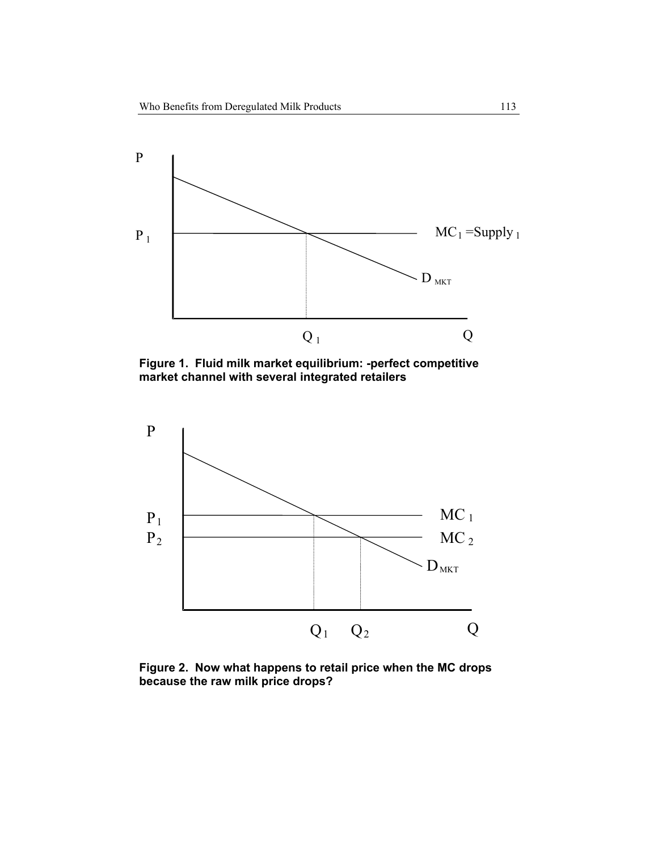

**Figure 1. Fluid milk market equilibrium: -perfect competitive market channel with several integrated retailers** 



**Figure 2. Now what happens to retail price when the MC drops because the raw milk price drops?**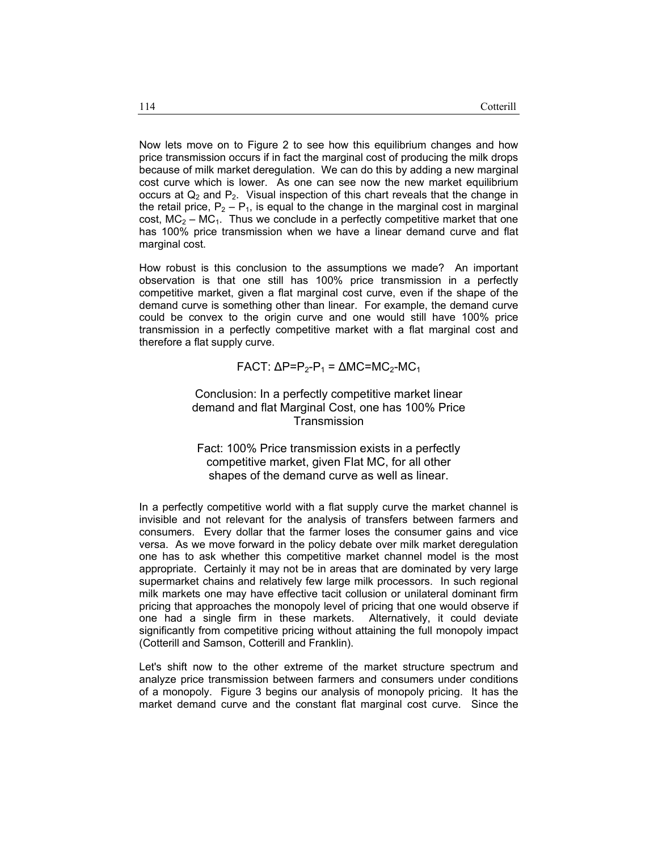Now lets move on to Figure 2 to see how this equilibrium changes and how price transmission occurs if in fact the marginal cost of producing the milk drops because of milk market deregulation. We can do this by adding a new marginal cost curve which is lower. As one can see now the new market equilibrium occurs at  $Q_2$  and  $P_2$ . Visual inspection of this chart reveals that the change in the retail price,  $P_2 - P_1$ , is equal to the change in the marginal cost in marginal cost,  $MC_2 - MC_1$ . Thus we conclude in a perfectly competitive market that one has 100% price transmission when we have a linear demand curve and flat marginal cost.

How robust is this conclusion to the assumptions we made? An important observation is that one still has 100% price transmission in a perfectly competitive market, given a flat marginal cost curve, even if the shape of the demand curve is something other than linear. For example, the demand curve could be convex to the origin curve and one would still have 100% price transmission in a perfectly competitive market with a flat marginal cost and therefore a flat supply curve.

$$
\mathsf{FACT}:\Delta\mathsf{P}=\mathsf{P}_2\text{-}\mathsf{P}_1=\Delta\mathsf{MC}=\mathsf{MC}_2\text{-}\mathsf{MC}_1
$$

Conclusion: In a perfectly competitive market linear demand and flat Marginal Cost, one has 100% Price **Transmission** 

Fact: 100% Price transmission exists in a perfectly competitive market, given Flat MC, for all other shapes of the demand curve as well as linear.

In a perfectly competitive world with a flat supply curve the market channel is invisible and not relevant for the analysis of transfers between farmers and consumers. Every dollar that the farmer loses the consumer gains and vice versa. As we move forward in the policy debate over milk market deregulation one has to ask whether this competitive market channel model is the most appropriate. Certainly it may not be in areas that are dominated by very large supermarket chains and relatively few large milk processors. In such regional milk markets one may have effective tacit collusion or unilateral dominant firm pricing that approaches the monopoly level of pricing that one would observe if one had a single firm in these markets. Alternatively, it could deviate significantly from competitive pricing without attaining the full monopoly impact (Cotterill and Samson, Cotterill and Franklin).

Let's shift now to the other extreme of the market structure spectrum and analyze price transmission between farmers and consumers under conditions of a monopoly. Figure 3 begins our analysis of monopoly pricing. It has the market demand curve and the constant flat marginal cost curve. Since the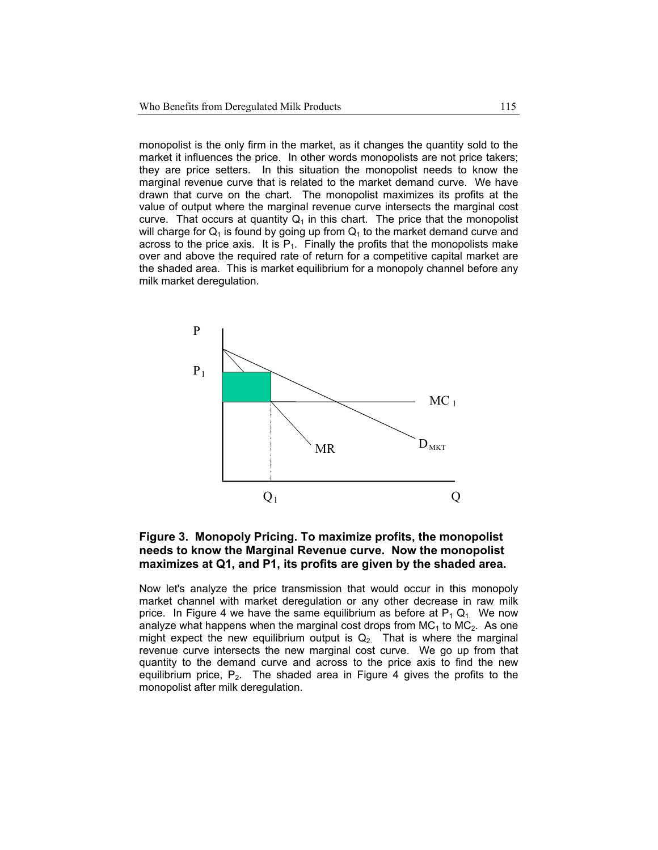monopolist is the only firm in the market, as it changes the quantity sold to the market it influences the price. In other words monopolists are not price takers; they are price setters. In this situation the monopolist needs to know the marginal revenue curve that is related to the market demand curve. We have drawn that curve on the chart. The monopolist maximizes its profits at the value of output where the marginal revenue curve intersects the marginal cost curve. That occurs at quantity  $Q_1$  in this chart. The price that the monopolist will charge for  $Q_1$  is found by going up from  $Q_1$  to the market demand curve and across to the price axis. It is  $P_1$ . Finally the profits that the monopolists make over and above the required rate of return for a competitive capital market are the shaded area. This is market equilibrium for a monopoly channel before any milk market deregulation.



#### **Figure 3. Monopoly Pricing. To maximize profits, the monopolist needs to know the Marginal Revenue curve. Now the monopolist maximizes at Q1, and P1, its profits are given by the shaded area.**

Now let's analyze the price transmission that would occur in this monopoly market channel with market deregulation or any other decrease in raw milk price. In Figure 4 we have the same equilibrium as before at  $P_1 Q_1$ . We now analyze what happens when the marginal cost drops from  $MC_1$  to  $MC_2$ . As one might expect the new equilibrium output is  $Q_2$ . That is where the marginal revenue curve intersects the new marginal cost curve. We go up from that quantity to the demand curve and across to the price axis to find the new equilibrium price,  $P_2$ . The shaded area in Figure 4 gives the profits to the monopolist after milk deregulation.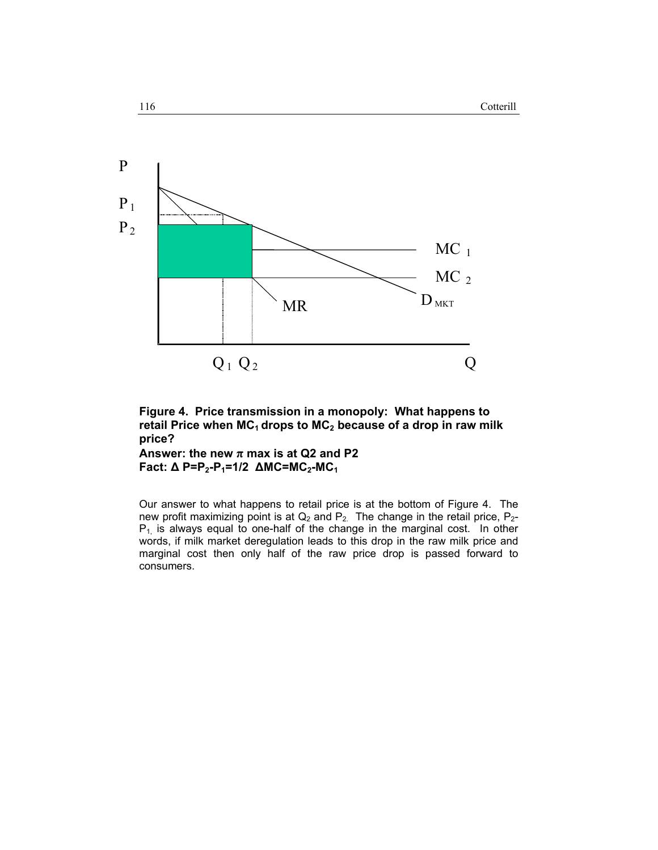

**Figure 4. Price transmission in a monopoly: What happens to**  retail Price when MC<sub>1</sub> drops to MC<sub>2</sub> because of a drop in raw milk **price?** 

Answer: the new  $\pi$  max is at Q2 and P2 **Fact: ∆ P=P<sub>2</sub>-P<sub>1</sub>=1/2 ∆MC=MC<sub>2</sub>-MC<sub>1</sub>** 

 $\overline{\phantom{0}}$ 

Our answer to what happens to retail price is at the bottom of Figure 4. The new profit maximizing point is at  $Q_2$  and  $P_2$ . The change in the retail price,  $P_2$ - $P_1$  is always equal to one-half of the change in the marginal cost. In other words, if milk market deregulation leads to this drop in the raw milk price and marginal cost then only half of the raw price drop is passed forward to consumers.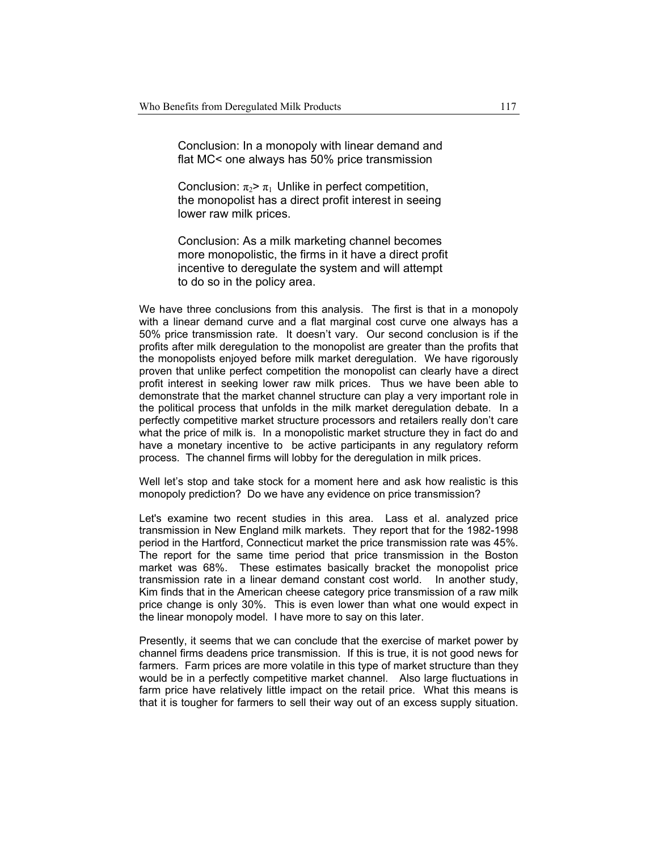Conclusion: In a monopoly with linear demand and flat MC< one always has 50% price transmission

Conclusion:  $\pi_2 > \pi_1$  Unlike in perfect competition, the monopolist has a direct profit interest in seeing lower raw milk prices.

 Conclusion: As a milk marketing channel becomes more monopolistic, the firms in it have a direct profit incentive to deregulate the system and will attempt to do so in the policy area.

We have three conclusions from this analysis. The first is that in a monopoly with a linear demand curve and a flat marginal cost curve one always has a 50% price transmission rate. It doesn't vary. Our second conclusion is if the profits after milk deregulation to the monopolist are greater than the profits that the monopolists enjoyed before milk market deregulation. We have rigorously proven that unlike perfect competition the monopolist can clearly have a direct profit interest in seeking lower raw milk prices. Thus we have been able to demonstrate that the market channel structure can play a very important role in the political process that unfolds in the milk market deregulation debate. In a perfectly competitive market structure processors and retailers really don't care what the price of milk is. In a monopolistic market structure they in fact do and have a monetary incentive to be active participants in any regulatory reform process. The channel firms will lobby for the deregulation in milk prices.

Well let's stop and take stock for a moment here and ask how realistic is this monopoly prediction? Do we have any evidence on price transmission?

Let's examine two recent studies in this area. Lass et al. analyzed price transmission in New England milk markets. They report that for the 1982-1998 period in the Hartford, Connecticut market the price transmission rate was 45%. The report for the same time period that price transmission in the Boston market was 68%. These estimates basically bracket the monopolist price transmission rate in a linear demand constant cost world. In another study, Kim finds that in the American cheese category price transmission of a raw milk price change is only 30%. This is even lower than what one would expect in the linear monopoly model. I have more to say on this later.

Presently, it seems that we can conclude that the exercise of market power by channel firms deadens price transmission. If this is true, it is not good news for farmers. Farm prices are more volatile in this type of market structure than they would be in a perfectly competitive market channel. Also large fluctuations in farm price have relatively little impact on the retail price. What this means is that it is tougher for farmers to sell their way out of an excess supply situation.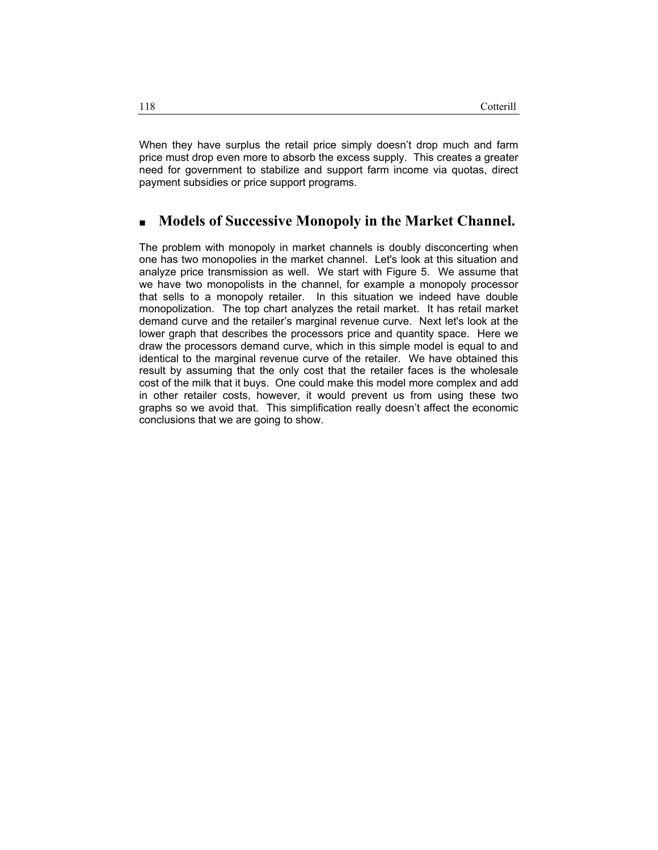When they have surplus the retail price simply doesn't drop much and farm price must drop even more to absorb the excess supply. This creates a greater need for government to stabilize and support farm income via quotas, direct payment subsidies or price support programs.

## **Models of Successive Monopoly in the Market Channel.**

The problem with monopoly in market channels is doubly disconcerting when one has two monopolies in the market channel. Let's look at this situation and analyze price transmission as well. We start with Figure 5. We assume that we have two monopolists in the channel, for example a monopoly processor that sells to a monopoly retailer. In this situation we indeed have double monopolization. The top chart analyzes the retail market. It has retail market demand curve and the retailer's marginal revenue curve. Next let's look at the lower graph that describes the processors price and quantity space. Here we draw the processors demand curve, which in this simple model is equal to and identical to the marginal revenue curve of the retailer. We have obtained this result by assuming that the only cost that the retailer faces is the wholesale cost of the milk that it buys. One could make this model more complex and add in other retailer costs, however, it would prevent us from using these two graphs so we avoid that. This simplification really doesn't affect the economic conclusions that we are going to show.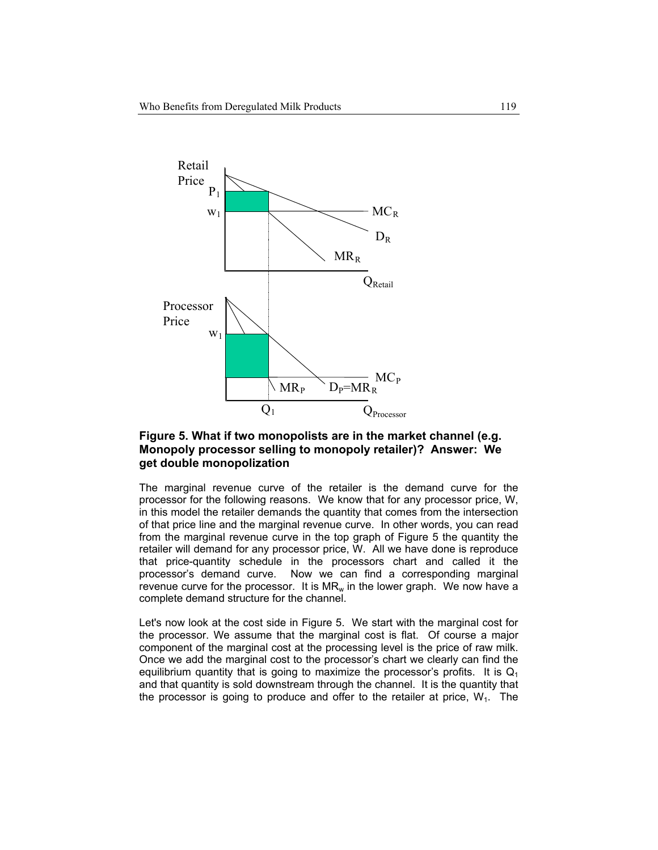

#### **Figure 5. What if two monopolists are in the market channel (e.g. Monopoly processor selling to monopoly retailer)? Answer: We get double monopolization**

The marginal revenue curve of the retailer is the demand curve for the processor for the following reasons. We know that for any processor price, W, in this model the retailer demands the quantity that comes from the intersection of that price line and the marginal revenue curve. In other words, you can read from the marginal revenue curve in the top graph of Figure 5 the quantity the retailer will demand for any processor price, W. All we have done is reproduce that price-quantity schedule in the processors chart and called it the processor's demand curve. Now we can find a corresponding marginal revenue curve for the processor. It is  $MR_w$  in the lower graph. We now have a complete demand structure for the channel.

Let's now look at the cost side in Figure 5. We start with the marginal cost for the processor. We assume that the marginal cost is flat. Of course a major component of the marginal cost at the processing level is the price of raw milk. Once we add the marginal cost to the processor's chart we clearly can find the equilibrium quantity that is going to maximize the processor's profits. It is  $Q_1$ and that quantity is sold downstream through the channel. It is the quantity that the processor is going to produce and offer to the retailer at price,  $W_1$ . The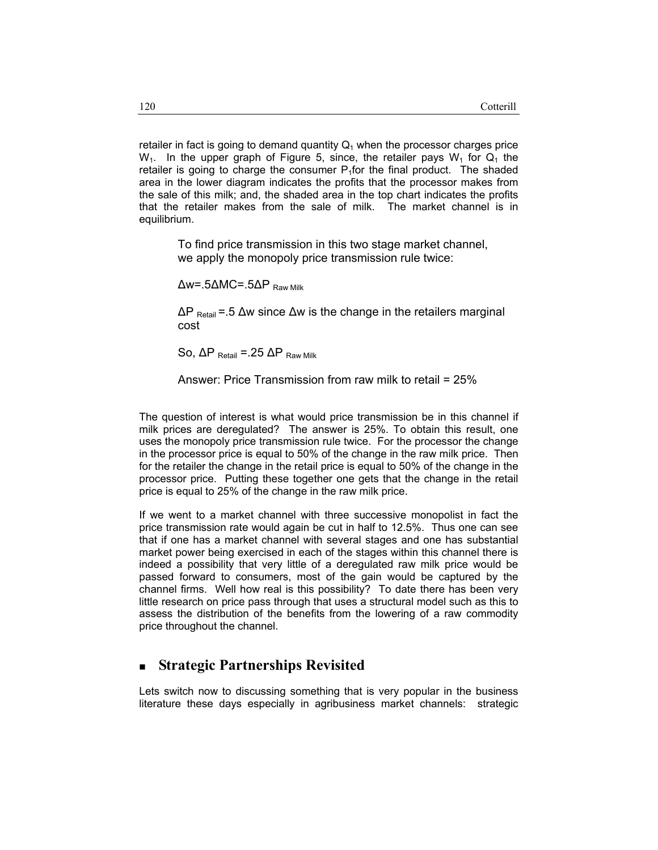retailer in fact is going to demand quantity  $Q_1$  when the processor charges price  $W_1$ . In the upper graph of Figure 5, since, the retailer pays  $W_1$  for  $Q_1$  the retailer is going to charge the consumer  $P_1$  for the final product. The shaded area in the lower diagram indicates the profits that the processor makes from the sale of this milk; and, the shaded area in the top chart indicates the profits that the retailer makes from the sale of milk. The market channel is in equilibrium.

> To find price transmission in this two stage market channel, we apply the monopoly price transmission rule twice:

 $\Delta w = .5\Delta MC = .5\Delta P$  Raw Milk

∆P Retail =.5 ∆w since ∆w is the change in the retailers marginal cost

So,  $ΔP$  Retail = 25  $ΔP$  Raw Milk

Answer: Price Transmission from raw milk to retail = 25%

The question of interest is what would price transmission be in this channel if milk prices are deregulated? The answer is 25%. To obtain this result, one uses the monopoly price transmission rule twice. For the processor the change in the processor price is equal to 50% of the change in the raw milk price. Then for the retailer the change in the retail price is equal to 50% of the change in the processor price. Putting these together one gets that the change in the retail price is equal to 25% of the change in the raw milk price.

If we went to a market channel with three successive monopolist in fact the price transmission rate would again be cut in half to 12.5%. Thus one can see that if one has a market channel with several stages and one has substantial market power being exercised in each of the stages within this channel there is indeed a possibility that very little of a deregulated raw milk price would be passed forward to consumers, most of the gain would be captured by the channel firms. Well how real is this possibility? To date there has been very little research on price pass through that uses a structural model such as this to assess the distribution of the benefits from the lowering of a raw commodity price throughout the channel.

### **Strategic Partnerships Revisited**

Lets switch now to discussing something that is very popular in the business literature these days especially in agribusiness market channels: strategic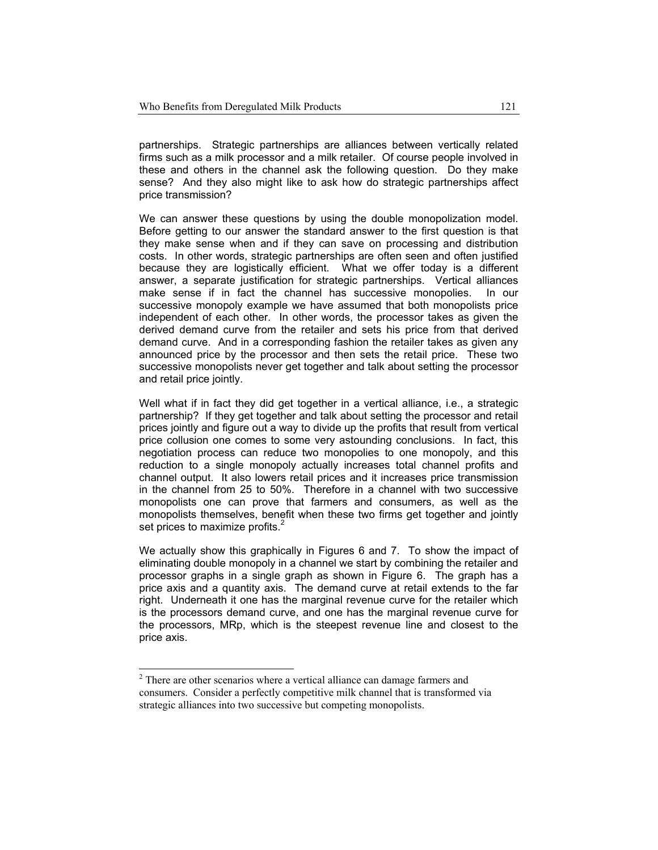partnerships. Strategic partnerships are alliances between vertically related firms such as a milk processor and a milk retailer. Of course people involved in these and others in the channel ask the following question. Do they make sense? And they also might like to ask how do strategic partnerships affect price transmission?

We can answer these questions by using the double monopolization model. Before getting to our answer the standard answer to the first question is that they make sense when and if they can save on processing and distribution costs. In other words, strategic partnerships are often seen and often justified because they are logistically efficient. What we offer today is a different answer, a separate justification for strategic partnerships. Vertical alliances make sense if in fact the channel has successive monopolies. In our successive monopoly example we have assumed that both monopolists price independent of each other. In other words, the processor takes as given the derived demand curve from the retailer and sets his price from that derived demand curve. And in a corresponding fashion the retailer takes as given any announced price by the processor and then sets the retail price. These two successive monopolists never get together and talk about setting the processor and retail price jointly.

Well what if in fact they did get together in a vertical alliance, i.e., a strategic partnership? If they get together and talk about setting the processor and retail prices jointly and figure out a way to divide up the profits that result from vertical price collusion one comes to some very astounding conclusions. In fact, this negotiation process can reduce two monopolies to one monopoly, and this reduction to a single monopoly actually increases total channel profits and channel output. It also lowers retail prices and it increases price transmission in the channel from 25 to 50%. Therefore in a channel with two successive monopolists one can prove that farmers and consumers, as well as the monopolists themselves, benefit when these two firms get together and jointly set prices to maximize profits.<sup>2</sup>

We actually show this graphically in Figures 6 and 7. To show the impact of eliminating double monopoly in a channel we start by combining the retailer and processor graphs in a single graph as shown in Figure 6. The graph has a price axis and a quantity axis. The demand curve at retail extends to the far right. Underneath it one has the marginal revenue curve for the retailer which is the processors demand curve, and one has the marginal revenue curve for the processors, MRp, which is the steepest revenue line and closest to the price axis.

-

<sup>&</sup>lt;sup>2</sup> There are other scenarios where a vertical alliance can damage farmers and consumers. Consider a perfectly competitive milk channel that is transformed via strategic alliances into two successive but competing monopolists.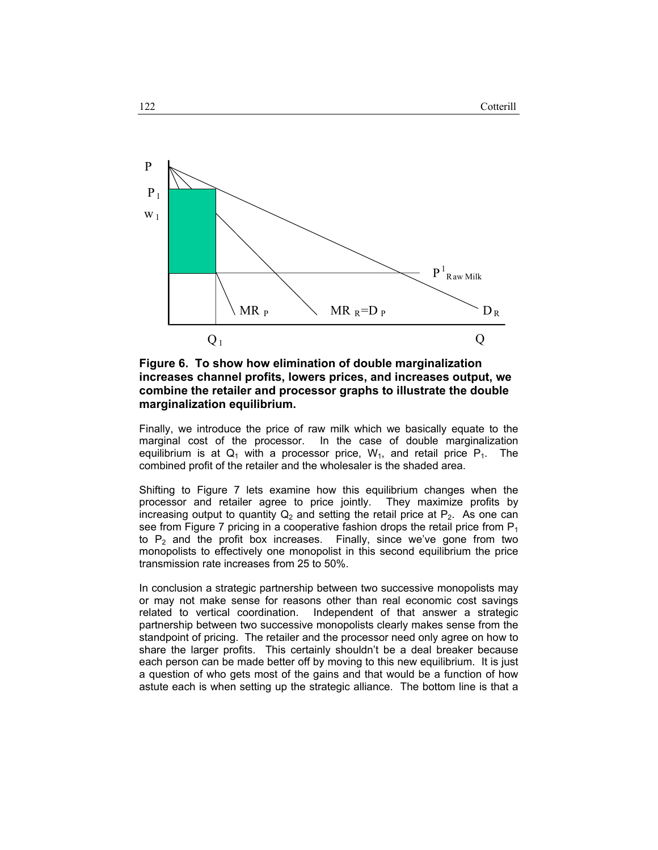

**Figure 6. To show how elimination of double marginalization increases channel profits, lowers prices, and increases output, we combine the retailer and processor graphs to illustrate the double marginalization equilibrium.** 

Finally, we introduce the price of raw milk which we basically equate to the marginal cost of the processor. In the case of double marginalization equilibrium is at  $Q_1$  with a processor price,  $W_1$ , and retail price  $P_1$ . The combined profit of the retailer and the wholesaler is the shaded area.

Shifting to Figure 7 lets examine how this equilibrium changes when the processor and retailer agree to price jointly. They maximize profits by increasing output to quantity  $Q_2$  and setting the retail price at  $P_2$ . As one can see from Figure 7 pricing in a cooperative fashion drops the retail price from  $P_1$ to  $P_2$  and the profit box increases. Finally, since we've gone from two monopolists to effectively one monopolist in this second equilibrium the price transmission rate increases from 25 to 50%.

In conclusion a strategic partnership between two successive monopolists may or may not make sense for reasons other than real economic cost savings related to vertical coordination. Independent of that answer a strategic partnership between two successive monopolists clearly makes sense from the standpoint of pricing. The retailer and the processor need only agree on how to share the larger profits. This certainly shouldn't be a deal breaker because each person can be made better off by moving to this new equilibrium. It is just a question of who gets most of the gains and that would be a function of how astute each is when setting up the strategic alliance. The bottom line is that a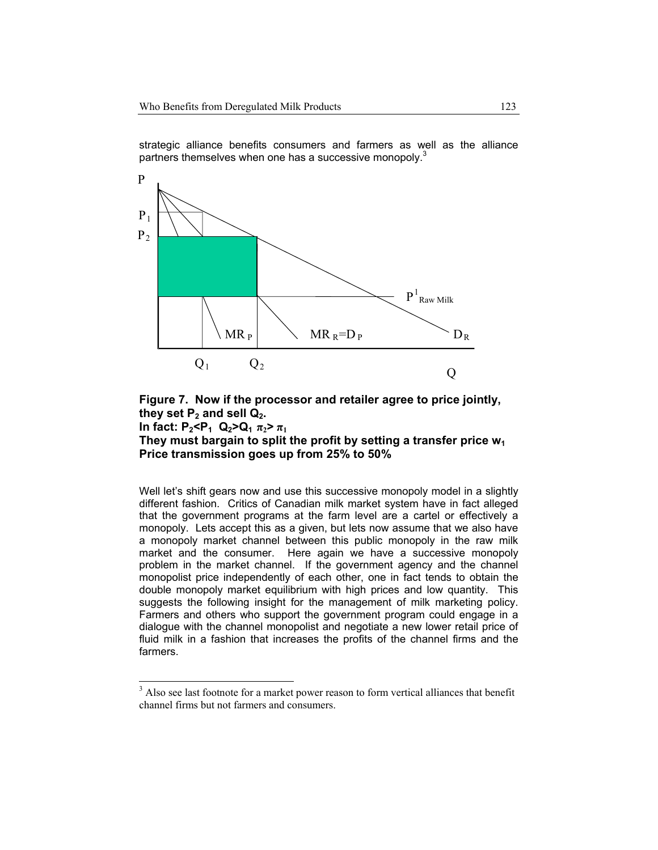strategic alliance benefits consumers and farmers as well as the alliance partners themselves when one has a successive monopoly. $3$ 



**Figure 7. Now if the processor and retailer agree to price jointly,**  they set  $P_2$  and sell  $Q_2$ . **In fact:**  $P_2 < P_1$   $Q_2 > Q_1 \pi_2 > \pi_1$ **They must bargain to split the profit by setting a transfer price w1 Price transmission goes up from 25% to 50%** 

Well let's shift gears now and use this successive monopoly model in a slightly different fashion. Critics of Canadian milk market system have in fact alleged that the government programs at the farm level are a cartel or effectively a monopoly. Lets accept this as a given, but lets now assume that we also have a monopoly market channel between this public monopoly in the raw milk market and the consumer. Here again we have a successive monopoly problem in the market channel. If the government agency and the channel monopolist price independently of each other, one in fact tends to obtain the double monopoly market equilibrium with high prices and low quantity. This suggests the following insight for the management of milk marketing policy. Farmers and others who support the government program could engage in a dialogue with the channel monopolist and negotiate a new lower retail price of fluid milk in a fashion that increases the profits of the channel firms and the farmers.

-

 $3$  Also see last footnote for a market power reason to form vertical alliances that benefit channel firms but not farmers and consumers.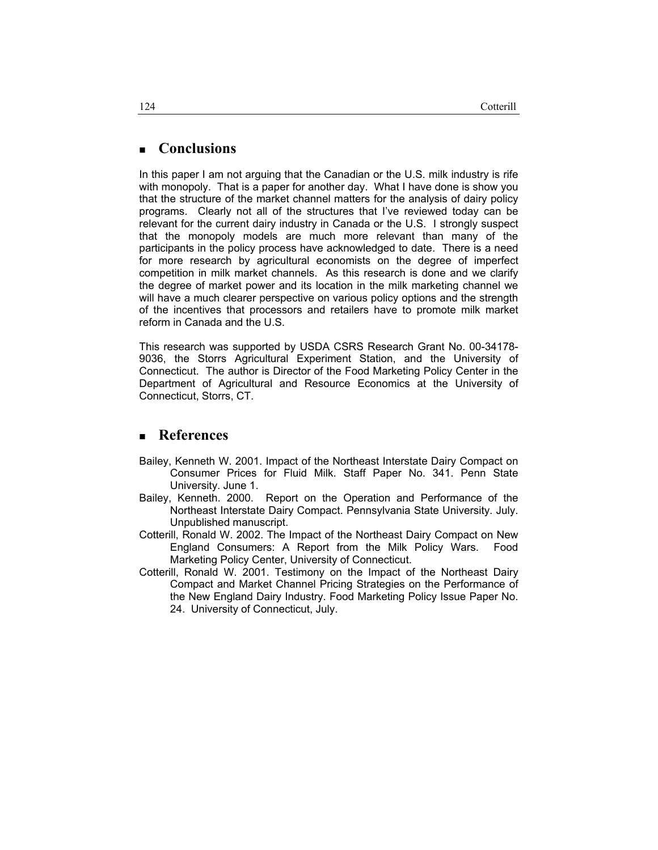# **Conclusions**

In this paper I am not arguing that the Canadian or the U.S. milk industry is rife with monopoly. That is a paper for another day. What I have done is show you that the structure of the market channel matters for the analysis of dairy policy programs. Clearly not all of the structures that I've reviewed today can be relevant for the current dairy industry in Canada or the U.S. I strongly suspect that the monopoly models are much more relevant than many of the participants in the policy process have acknowledged to date. There is a need for more research by agricultural economists on the degree of imperfect competition in milk market channels. As this research is done and we clarify the degree of market power and its location in the milk marketing channel we will have a much clearer perspective on various policy options and the strength of the incentives that processors and retailers have to promote milk market reform in Canada and the U.S.

This research was supported by USDA CSRS Research Grant No. 00-34178- 9036, the Storrs Agricultural Experiment Station, and the University of Connecticut. The author is Director of the Food Marketing Policy Center in the Department of Agricultural and Resource Economics at the University of Connecticut, Storrs, CT.

### **References**

- Bailey, Kenneth W. 2001. Impact of the Northeast Interstate Dairy Compact on Consumer Prices for Fluid Milk. Staff Paper No. 341. Penn State University. June 1.
- Bailey, Kenneth. 2000. Report on the Operation and Performance of the Northeast Interstate Dairy Compact. Pennsylvania State University. July. Unpublished manuscript.
- Cotterill, Ronald W. 2002. The Impact of the Northeast Dairy Compact on New England Consumers: A Report from the Milk Policy Wars. Food Marketing Policy Center, University of Connecticut.
- Cotterill, Ronald W. 2001. Testimony on the Impact of the Northeast Dairy Compact and Market Channel Pricing Strategies on the Performance of the New England Dairy Industry. Food Marketing Policy Issue Paper No. 24. University of Connecticut, July.